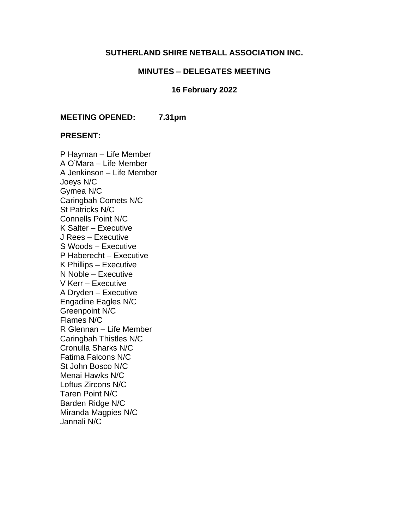## **SUTHERLAND SHIRE NETBALL ASSOCIATION INC.**

## **MINUTES – DELEGATES MEETING**

#### **16 February 2022**

**MEETING OPENED: 7.31pm**

#### **PRESENT:**

P Hayman – Life Member A O'Mara – Life Member A Jenkinson – Life Member Joeys N/C Gymea N/C Caringbah Comets N/C St Patricks N/C Connells Point N/C K Salter – Executive J Rees – Executive S Woods – Executive P Haberecht – Executive K Phillips – Executive N Noble – Executive V Kerr – Executive A Dryden – Executive Engadine Eagles N/C Greenpoint N/C Flames N/C R Glennan – Life Member Caringbah Thistles N/C Cronulla Sharks N/C Fatima Falcons N/C St John Bosco N/C Menai Hawks N/C Loftus Zircons N/C Taren Point N/C Barden Ridge N/C Miranda Magpies N/C Jannali N/C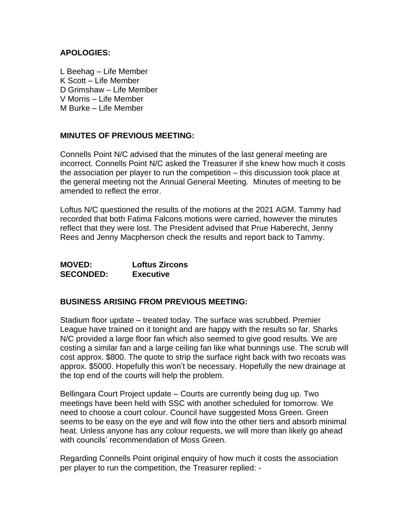## **APOLOGIES:**

L Beehag – Life Member K Scott – Life Member D Grimshaw – Life Member V Morris – Life Member M Burke – Life Member

## **MINUTES OF PREVIOUS MEETING:**

Connells Point N/C advised that the minutes of the last general meeting are incorrect. Connells Point N/C asked the Treasurer if she knew how much it costs the association per player to run the competition – this discussion took place at the general meeting not the Annual General Meeting. Minutes of meeting to be amended to reflect the error.

Loftus N/C questioned the results of the motions at the 2021 AGM. Tammy had recorded that both Fatima Falcons motions were carried, however the minutes reflect that they were lost. The President advised that Prue Haberecht, Jenny Rees and Jenny Macpherson check the results and report back to Tammy.

| <b>MOVED:</b>    | <b>Loftus Zircons</b> |
|------------------|-----------------------|
| <b>SECONDED:</b> | <b>Executive</b>      |

## **BUSINESS ARISING FROM PREVIOUS MEETING:**

Stadium floor update – treated today. The surface was scrubbed. Premier League have trained on it tonight and are happy with the results so far. Sharks N/C provided a large floor fan which also seemed to give good results. We are costing a similar fan and a large ceiling fan like what bunnings use. The scrub will cost approx. \$800. The quote to strip the surface right back with two recoats was approx. \$5000. Hopefully this won't be necessary. Hopefully the new drainage at the top end of the courts will help the problem.

Bellingara Court Project update – Courts are currently being dug up. Two meetings have been held with SSC with another scheduled for tomorrow. We need to choose a court colour. Council have suggested Moss Green. Green seems to be easy on the eye and will flow into the other tiers and absorb minimal heat. Unless anyone has any colour requests, we will more than likely go ahead with councils' recommendation of Moss Green.

Regarding Connells Point original enquiry of how much it costs the association per player to run the competition, the Treasurer replied: -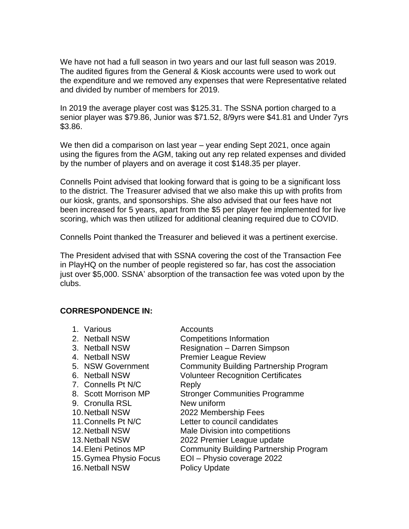We have not had a full season in two years and our last full season was 2019. The audited figures from the General & Kiosk accounts were used to work out the expenditure and we removed any expenses that were Representative related and divided by number of members for 2019.

In 2019 the average player cost was \$125.31. The SSNA portion charged to a senior player was \$79.86, Junior was \$71.52, 8/9yrs were \$41.81 and Under 7yrs \$3.86.

We then did a comparison on last year – year ending Sept 2021, once again using the figures from the AGM, taking out any rep related expenses and divided by the number of players and on average it cost \$148.35 per player.

Connells Point advised that looking forward that is going to be a significant loss to the district. The Treasurer advised that we also make this up with profits from our kiosk, grants, and sponsorships. She also advised that our fees have not been increased for 5 years, apart from the \$5 per player fee implemented for live scoring, which was then utilized for additional cleaning required due to COVID.

Connells Point thanked the Treasurer and believed it was a pertinent exercise.

The President advised that with SSNA covering the cost of the Transaction Fee in PlayHQ on the number of people registered so far, has cost the association just over \$5,000. SSNA' absorption of the transaction fee was voted upon by the clubs.

## **CORRESPONDENCE IN:**

| 1. Various             | Accounts                                      |
|------------------------|-----------------------------------------------|
| 2. Netball NSW         | <b>Competitions Information</b>               |
| 3. Netball NSW         | <b>Resignation - Darren Simpson</b>           |
| 4. Netball NSW         | <b>Premier League Review</b>                  |
| 5. NSW Government      | <b>Community Building Partnership Program</b> |
| 6. Netball NSW         | <b>Volunteer Recognition Certificates</b>     |
| 7. Connells Pt N/C     | Reply                                         |
| 8. Scott Morrison MP   | <b>Stronger Communities Programme</b>         |
| 9. Cronulla RSL        | New uniform                                   |
| 10. Netball NSW        | 2022 Membership Fees                          |
| 11. Connells Pt N/C    | Letter to council candidates                  |
| 12. Netball NSW        | Male Division into competitions               |
| 13. Netball NSW        | 2022 Premier League update                    |
| 14. Eleni Petinos MP   | <b>Community Building Partnership Program</b> |
| 15. Gymea Physio Focus | EOI - Physio coverage 2022                    |
| 16. Netball NSW        | <b>Policy Update</b>                          |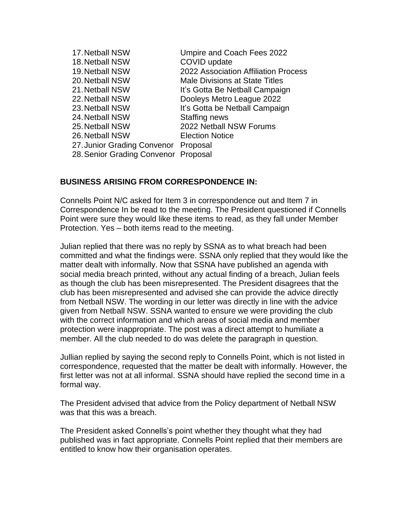| Umpire and Coach Fees 2022            |
|---------------------------------------|
| COVID update                          |
| 2022 Association Affiliation Process  |
| <b>Male Divisions at State Titles</b> |
| It's Gotta Be Netball Campaign        |
| Dooleys Metro League 2022             |
| It's Gotta be Netball Campaign        |
| <b>Staffing news</b>                  |
| 2022 Netball NSW Forums               |
| <b>Election Notice</b>                |
| 27. Junior Grading Convenor Proposal  |
| 28. Senior Grading Convenor Proposal  |
|                                       |

## **BUSINESS ARISING FROM CORRESPONDENCE IN:**

Connells Point N/C asked for Item 3 in correspondence out and Item 7 in Correspondence In be read to the meeting. The President questioned if Connells Point were sure they would like these items to read, as they fall under Member Protection. Yes – both items read to the meeting.

Julian replied that there was no reply by SSNA as to what breach had been committed and what the findings were. SSNA only replied that they would like the matter dealt with informally. Now that SSNA have published an agenda with social media breach printed, without any actual finding of a breach, Julian feels as though the club has been misrepresented. The President disagrees that the club has been misrepresented and advised she can provide the advice directly from Netball NSW. The wording in our letter was directly in line with the advice given from Netball NSW. SSNA wanted to ensure we were providing the club with the correct information and which areas of social media and member protection were inappropriate. The post was a direct attempt to humiliate a member. All the club needed to do was delete the paragraph in question.

Jullian replied by saying the second reply to Connells Point, which is not listed in correspondence, requested that the matter be dealt with informally. However, the first letter was not at all informal. SSNA should have replied the second time in a formal way.

The President advised that advice from the Policy department of Netball NSW was that this was a breach.

The President asked Connells's point whether they thought what they had published was in fact appropriate. Connells Point replied that their members are entitled to know how their organisation operates.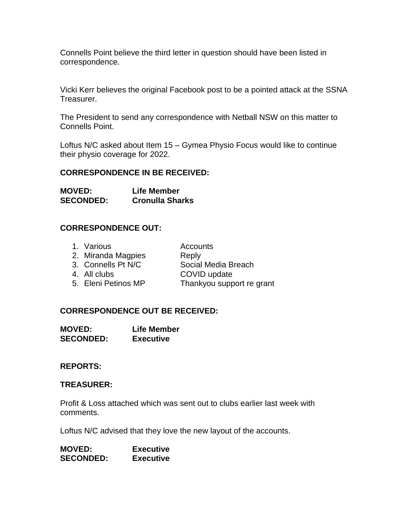Connells Point believe the third letter in question should have been listed in correspondence.

Vicki Kerr believes the original Facebook post to be a pointed attack at the SSNA Treasurer.

The President to send any correspondence with Netball NSW on this matter to Connells Point.

Loftus N/C asked about Item 15 – Gymea Physio Focus would like to continue their physio coverage for 2022.

## **CORRESPONDENCE IN BE RECEIVED:**

**MOVED: Life Member SECONDED: Cronulla Sharks** 

## **CORRESPONDENCE OUT:**

| 1. Various          | Accounts                  |
|---------------------|---------------------------|
| 2. Miranda Magpies  | Reply                     |
| 3. Connells Pt N/C  | Social Media Breach       |
| 4. All clubs        | COVID update              |
| 5. Eleni Petinos MP | Thankyou support re grant |
|                     |                           |

## **CORRESPONDENCE OUT BE RECEIVED:**

**MOVED: Life Member SECONDED: Executive**

#### **REPORTS:**

#### **TREASURER:**

Profit & Loss attached which was sent out to clubs earlier last week with comments.

Loftus N/C advised that they love the new layout of the accounts.

| <b>MOVED:</b>    | <b>Executive</b> |
|------------------|------------------|
| <b>SECONDED:</b> | <b>Executive</b> |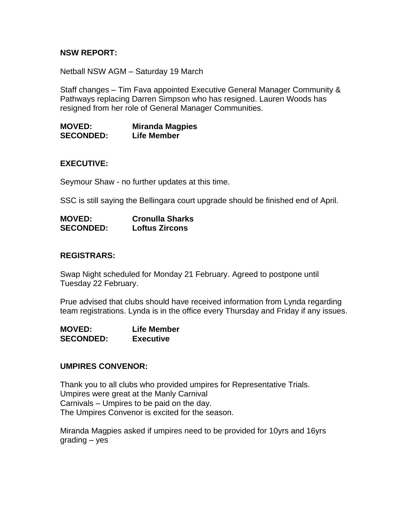## **NSW REPORT:**

Netball NSW AGM – Saturday 19 March

Staff changes – Tim Fava appointed Executive General Manager Community & Pathways replacing Darren Simpson who has resigned. Lauren Woods has resigned from her role of General Manager Communities.

**MOVED: Miranda Magpies SECONDED: Life Member**

#### **EXECUTIVE:**

Seymour Shaw - no further updates at this time.

SSC is still saying the Bellingara court upgrade should be finished end of April.

| <b>MOVED:</b>    | <b>Cronulla Sharks</b> |
|------------------|------------------------|
| <b>SECONDED:</b> | <b>Loftus Zircons</b>  |

#### **REGISTRARS:**

Swap Night scheduled for Monday 21 February. Agreed to postpone until Tuesday 22 February.

Prue advised that clubs should have received information from Lynda regarding team registrations. Lynda is in the office every Thursday and Friday if any issues.

**MOVED: Life Member SECONDED: Executive**

#### **UMPIRES CONVENOR:**

Thank you to all clubs who provided umpires for Representative Trials. Umpires were great at the Manly Carnival Carnivals – Umpires to be paid on the day. The Umpires Convenor is excited for the season.

Miranda Magpies asked if umpires need to be provided for 10yrs and 16yrs grading – yes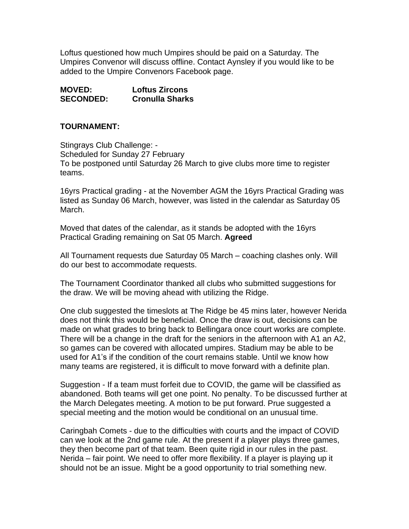Loftus questioned how much Umpires should be paid on a Saturday. The Umpires Convenor will discuss offline. Contact Aynsley if you would like to be added to the Umpire Convenors Facebook page.

| <b>MOVED:</b>    | <b>Loftus Zircons</b>  |
|------------------|------------------------|
| <b>SECONDED:</b> | <b>Cronulla Sharks</b> |

## **TOURNAMENT:**

Stingrays Club Challenge: - Scheduled for Sunday 27 February To be postponed until Saturday 26 March to give clubs more time to register teams.

16yrs Practical grading - at the November AGM the 16yrs Practical Grading was listed as Sunday 06 March, however, was listed in the calendar as Saturday 05 March.

Moved that dates of the calendar, as it stands be adopted with the 16yrs Practical Grading remaining on Sat 05 March. **Agreed** 

All Tournament requests due Saturday 05 March – coaching clashes only. Will do our best to accommodate requests.

The Tournament Coordinator thanked all clubs who submitted suggestions for the draw. We will be moving ahead with utilizing the Ridge.

One club suggested the timeslots at The Ridge be 45 mins later, however Nerida does not think this would be beneficial. Once the draw is out, decisions can be made on what grades to bring back to Bellingara once court works are complete. There will be a change in the draft for the seniors in the afternoon with A1 an A2, so games can be covered with allocated umpires. Stadium may be able to be used for A1's if the condition of the court remains stable. Until we know how many teams are registered, it is difficult to move forward with a definite plan.

Suggestion - If a team must forfeit due to COVID, the game will be classified as abandoned. Both teams will get one point. No penalty. To be discussed further at the March Delegates meeting. A motion to be put forward. Prue suggested a special meeting and the motion would be conditional on an unusual time.

Caringbah Comets - due to the difficulties with courts and the impact of COVID can we look at the 2nd game rule. At the present if a player plays three games, they then become part of that team. Been quite rigid in our rules in the past. Nerida – fair point. We need to offer more flexibility. If a player is playing up it should not be an issue. Might be a good opportunity to trial something new.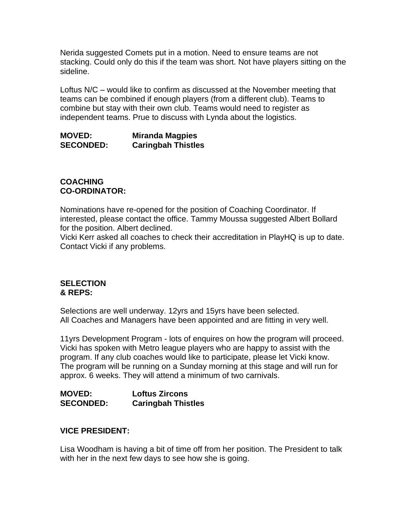Nerida suggested Comets put in a motion. Need to ensure teams are not stacking. Could only do this if the team was short. Not have players sitting on the sideline.

Loftus N/C – would like to confirm as discussed at the November meeting that teams can be combined if enough players (from a different club). Teams to combine but stay with their own club. Teams would need to register as independent teams. Prue to discuss with Lynda about the logistics.

**MOVED: Miranda Magpies SECONDED: Caringbah Thistles**

## **COACHING CO-ORDINATOR:**

Nominations have re-opened for the position of Coaching Coordinator. If interested, please contact the office. Tammy Moussa suggested Albert Bollard for the position. Albert declined.

Vicki Kerr asked all coaches to check their accreditation in PlayHQ is up to date. Contact Vicki if any problems.

## **SELECTION & REPS:**

Selections are well underway. 12yrs and 15yrs have been selected. All Coaches and Managers have been appointed and are fitting in very well.

11yrs Development Program - lots of enquires on how the program will proceed. Vicki has spoken with Metro league players who are happy to assist with the program. If any club coaches would like to participate, please let Vicki know. The program will be running on a Sunday morning at this stage and will run for approx. 6 weeks. They will attend a minimum of two carnivals.

**MOVED: Loftus Zircons SECONDED: Caringbah Thistles**

# **VICE PRESIDENT:**

Lisa Woodham is having a bit of time off from her position. The President to talk with her in the next few days to see how she is going.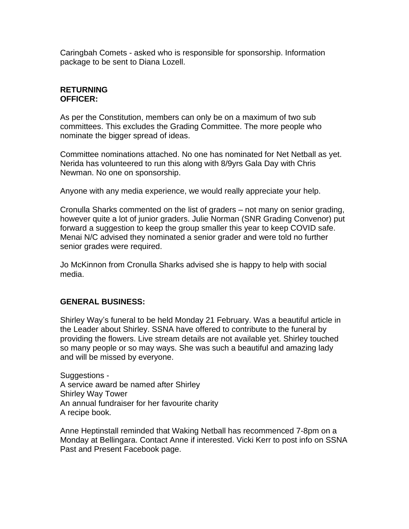Caringbah Comets - asked who is responsible for sponsorship. Information package to be sent to Diana Lozell.

## **RETURNING OFFICER:**

As per the Constitution, members can only be on a maximum of two sub committees. This excludes the Grading Committee. The more people who nominate the bigger spread of ideas.

Committee nominations attached. No one has nominated for Net Netball as yet. Nerida has volunteered to run this along with 8/9yrs Gala Day with Chris Newman. No one on sponsorship.

Anyone with any media experience, we would really appreciate your help.

Cronulla Sharks commented on the list of graders – not many on senior grading, however quite a lot of junior graders. Julie Norman (SNR Grading Convenor) put forward a suggestion to keep the group smaller this year to keep COVID safe. Menai N/C advised they nominated a senior grader and were told no further senior grades were required.

Jo McKinnon from Cronulla Sharks advised she is happy to help with social media.

## **GENERAL BUSINESS:**

Shirley Way's funeral to be held Monday 21 February. Was a beautiful article in the Leader about Shirley. SSNA have offered to contribute to the funeral by providing the flowers. Live stream details are not available yet. Shirley touched so many people or so may ways. She was such a beautiful and amazing lady and will be missed by everyone.

Suggestions - A service award be named after Shirley Shirley Way Tower An annual fundraiser for her favourite charity A recipe book.

Anne Heptinstall reminded that Waking Netball has recommenced 7-8pm on a Monday at Bellingara. Contact Anne if interested. Vicki Kerr to post info on SSNA Past and Present Facebook page.